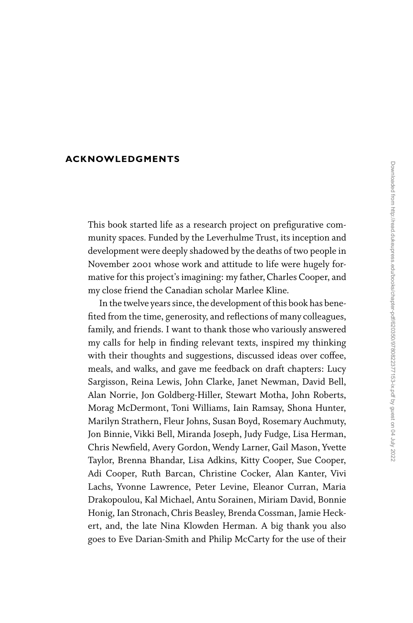## **Acknowledgments**

This book started life as a research project on prefigurative community spaces. Funded by the Leverhulme Trust, its inception and development were deeply shadowed by the deaths of two people in November 2001 whose work and attitude to life were hugely formative for this project's imagining: my father, Charles Cooper, and my close friend the Canadian scholar Marlee Kline.

In the twelve years since, the development of this book has benefited from the time, generosity, and reflections of many colleagues, family, and friends. I want to thank those who variously answered my calls for help in finding relevant texts, inspired my thinking with their thoughts and suggestions, discussed ideas over coffee, meals, and walks, and gave me feedback on draft chapters: Lucy Sargisson, Reina Lewis, John Clarke, Janet Newman, David Bell, Alan Norrie, Jon Goldberg-Hiller, Stewart Motha, John Roberts, Morag McDermont, Toni Williams, Iain Ramsay, Shona Hunter, Marilyn Strathern, Fleur Johns, Susan Boyd, Rosemary Auchmuty, Jon Binnie, Vikki Bell, Miranda Joseph, Judy Fudge, Lisa Herman, Chris Newfield, Avery Gordon, Wendy Larner, Gail Mason, Yvette Taylor, Brenna Bhandar, Lisa Adkins, Kitty Cooper, Sue Cooper, Adi Cooper, Ruth Barcan, Christine Cocker, Alan Kanter, Vivi Lachs, Yvonne Lawrence, Peter Levine, Eleanor Curran, Maria Drakopoulou, Kal Michael, Antu Sorainen, Miriam David, Bonnie Honig, Ian Stronach, Chris Beasley, Brenda Cossman, Jamie Heckert, and, the late Nina Klowden Herman. A big thank you also goes to Eve Darian-Smith and Philip McCarty for the use of their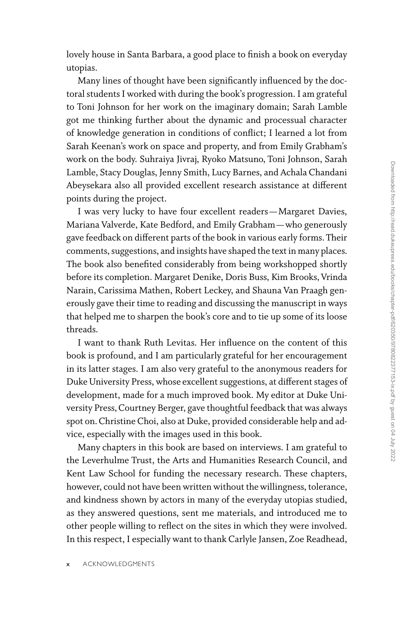lovely house in Santa Barbara, a good place to finish a book on everyday utopias.

Many lines of thought have been significantly influenced by the doctoral students I worked with during the book's progression. I am grateful to Toni Johnson for her work on the imaginary domain; Sarah Lamble got me thinking further about the dynamic and processual character of knowledge generation in conditions of conflict; I learned a lot from Sarah Keenan's work on space and property, and from Emily Grabham's work on the body. Suhraiya Jivraj, Ryoko Matsuno, Toni Johnson, Sarah Lamble, Stacy Douglas, Jenny Smith, Lucy Barnes, and Achala Chandani Abeysekara also all provided excellent research assistance at different points during the project.

I was very lucky to have four excellent readers—Margaret Davies, Mariana Valverde, Kate Bedford, and Emily Grabham—who generously gave feedback on different parts of the book in various early forms. Their comments, suggestions, and insights have shaped the text in many places. The book also benefited considerably from being workshopped shortly before its completion. Margaret Denike, Doris Buss, Kim Brooks, Vrinda Narain, Carissima Mathen, Robert Leckey, and Shauna Van Praagh generously gave their time to reading and discussing the manuscript in ways that helped me to sharpen the book's core and to tie up some of its loose threads.

I want to thank Ruth Levitas. Her influence on the content of this book is profound, and I am particularly grateful for her encouragement in its latter stages. I am also very grateful to the anonymous readers for Duke University Press, whose excellent suggestions, at different stages of development, made for a much improved book. My editor at Duke University Press, Courtney Berger, gave thoughtful feedback that was always spot on. Christine Choi, also at Duke, provided considerable help and advice, especially with the images used in this book.

Many chapters in this book are based on interviews. I am grateful to the Leverhulme Trust, the Arts and Humanities Research Council, and Kent Law School for funding the necessary research. These chapters, however, could not have been written without the willingness, tolerance, and kindness shown by actors in many of the everyday utopias studied, as they answered questions, sent me materials, and introduced me to other people willing to reflect on the sites in which they were involved. In this respect, I especially want to thank Carlyle Jansen, Zoe Readhead,